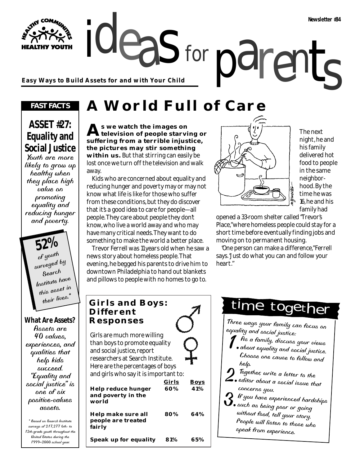ideas for parents **Easy Ways to Build Assets for and with Your Child**

#### *FAST FACTS*

**HY YOUTH** 

## **ASSET #27: Equality and Social Justice**

Youth are more likely to grow up healthy when they place high value on promoting equality and reducing hunger and poverty.

> **52%** of youth surveyed by Search Institute have this asset in their lives.

#### **What Are Assets?**

Assets are 40 values, experiences, and qualities that help kids succeed. "Equality and social justice" is one of six positive-values assets.

\* Based on Search Institute surveys of 217,277 6th- to 12th-grade youth throughout the United States during the 1999–2000 school year.

# **A World Full of Care**

for

**As we watch the images on television of people starving or suffering from a terrible injustice, the pictures may stir something within us.** But that stirring can easily be lost once we turn off the television and walk away.

Kids who are concerned about equality and reducing hunger and poverty may or may not know what life is like for those who suffer from these conditions, but they do discover that it's a good idea to care for people—all people. They care about people they don't know, who live a world away and who may have many critical needs. They want to do something to make the world a better place.

Trevor Ferrell was 11 years old when he saw a news story about homeless people. That evening, he begged his parents to drive him to downtown Philadelphia to hand out blankets and pillows to people with no homes to go to.



The next night, he and his family delivered hot food to people in the same neighborhood. By the time he was 16, he and his family had

opened a 33-room shelter called "Trevor's Place," where homeless people could stay for a short time before eventually finding jobs and moving on to permanent housing.

"One person can make a difference," Ferrell says. "Just do what you can and follow your heart."

### **Girls and Boys: Different Responses** Girls are much more willing than boys to promote equality and social justice, report researchers at Search Institute. Here are the percentages of boys and girls who say it is important to: **Girls Boys Help reduce hunger 60% 41% and poverty in the world Help make sure all 80% 64%**

**people are treated fairly**

**Speak up for equality 81% 65%**

# time together

Three ways your family can focus on equality and social justice:

- $\tilde{A}$ s a family, discuss your views about equality and social justice. Choose one cause to follow and help.
- Together, write a letter to the  $\mathbf Z$  . editor about a social issue that concerns you.
- $\boldsymbol{Q}$  If you have experienced hardships  $\mathbf 0$ . such as being poor or going without food, tell your story. People will listen to those who speak from experience.